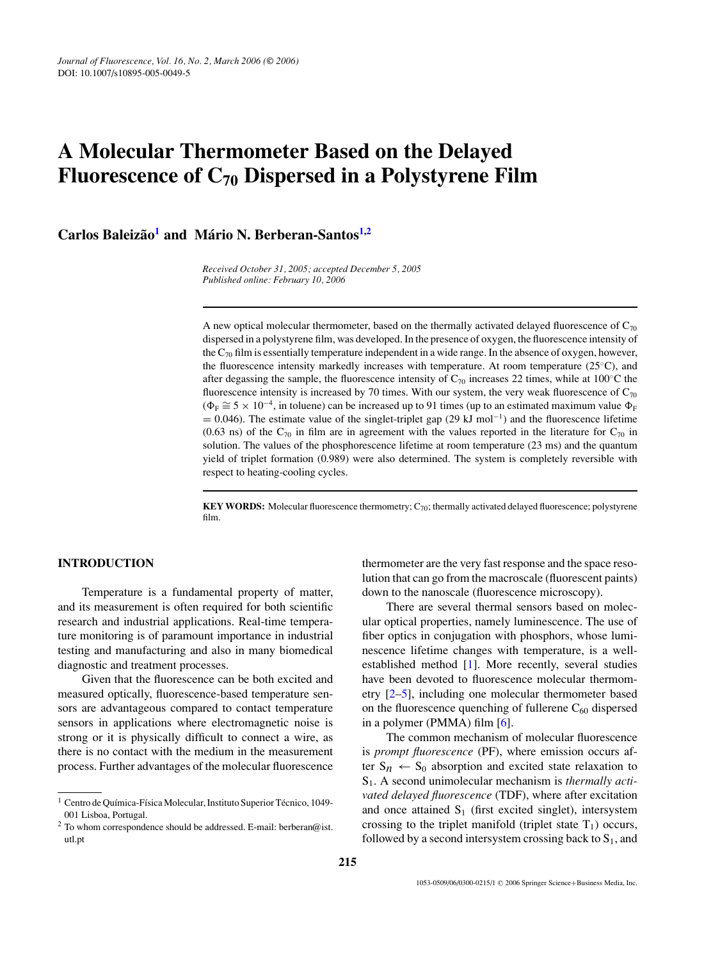# **A Molecular Thermometer Based on the Delayed Fluorescence of C70 Dispersed in a Polystyrene Film**

**Carlos Baleizao˜ [1](#page-0-0) and Mario N. Berberan-Santos ´ [1](#page-0-0)[,2](#page-0-1)**

*Received October 31, 2005; accepted December 5, 2005 Published online: February 10, 2006*

A new optical molecular thermometer, based on the thermally activated delayed fluorescence of  $C_{70}$ dispersed in a polystyrene film, was developed. In the presence of oxygen, the fluorescence intensity of the  $C_{70}$  film is essentially temperature independent in a wide range. In the absence of oxygen, however, the fluorescence intensity markedly increases with temperature. At room temperature (25◦C), and after degassing the sample, the fluorescence intensity of  $C_{70}$  increases 22 times, while at 100°C the fluorescence intensity is increased by 70 times. With our system, the very weak fluorescence of  $C_{70}$  $(\Phi_F \cong 5 \times 10^{-4}$ , in toluene) can be increased up to 91 times (up to an estimated maximum value  $\Phi_F$  $= 0.046$ ). The estimate value of the singlet-triplet gap (29 kJ mol<sup>-1</sup>) and the fluorescence lifetime (0.63 ns) of the  $C_{70}$  in film are in agreement with the values reported in the literature for  $C_{70}$  in solution. The values of the phosphorescence lifetime at room temperature (23 ms) and the quantum yield of triplet formation (0.989) were also determined. The system is completely reversible with respect to heating-cooling cycles.

**KEY WORDS:** Molecular fluorescence thermometry; C<sub>70</sub>; thermally activated delayed fluorescence; polystyrene film.

# **[I](#page-0-0)NTRODUCTION**

Temperature is a fundamental property of matter, and its measurement is often required for both scientific research and industrial applications. Real-time temperature monitoring is of paramount importance in industrial testing and manufacturing and also in many biomedical diagnostic and treatment processes.

Given that the fluorescence can be both excited and measured optically, fluorescence-based temperature sensors are advantageous compared to contact temperature sensors in applications where electromagnetic noise is strong or it is physically difficult to connect a wire, as there is no contact with the medium in the measurement process. Further advantages of the molecular fluorescence

thermometer are the very fast response and the space resolution that can go from the macroscale (fluorescent paints) down to the nanoscale (fluorescence microscopy).

There are several thermal sensors based on molecular optical properties, namely luminescence. The use of fiber optics in conjugation with phosphors, whose luminescence lifetime changes with temperature, is a wellestablished method [\[1\]](#page-3-0). More recently, several studies have been devoted to fluorescence molecular thermometry [\[2](#page-3-1)[–5\]](#page-3-2), including one molecular thermometer based on the fluorescence quenching of fullerene  $C_{60}$  dispersed in a polymer (PMMA) film  $[6]$ .

The common mechanism of molecular fluorescence is *prompt fluorescence* (PF), where emission occurs after  $S_n \leftarrow S_0$  absorption and excited state relaxation to S1. A second unimolecular mechanism is *thermally activated delayed fluorescence* (TDF), where after excitation and once attained  $S_1$  (first excited singlet), intersystem crossing to the triplet manifold (triplet state  $T_1$ ) occurs, followed by a second intersystem crossing back to  $S_1$ , and

<sup>&</sup>lt;sup>1</sup> Centro de Química-Física Molecular, Instituto Superior Técnico, 1049-001 Lisboa, Portugal.

<span id="page-0-1"></span><span id="page-0-0"></span> $2$  To whom correspondence should be addressed. E-mail: berberan@ist. utl.pt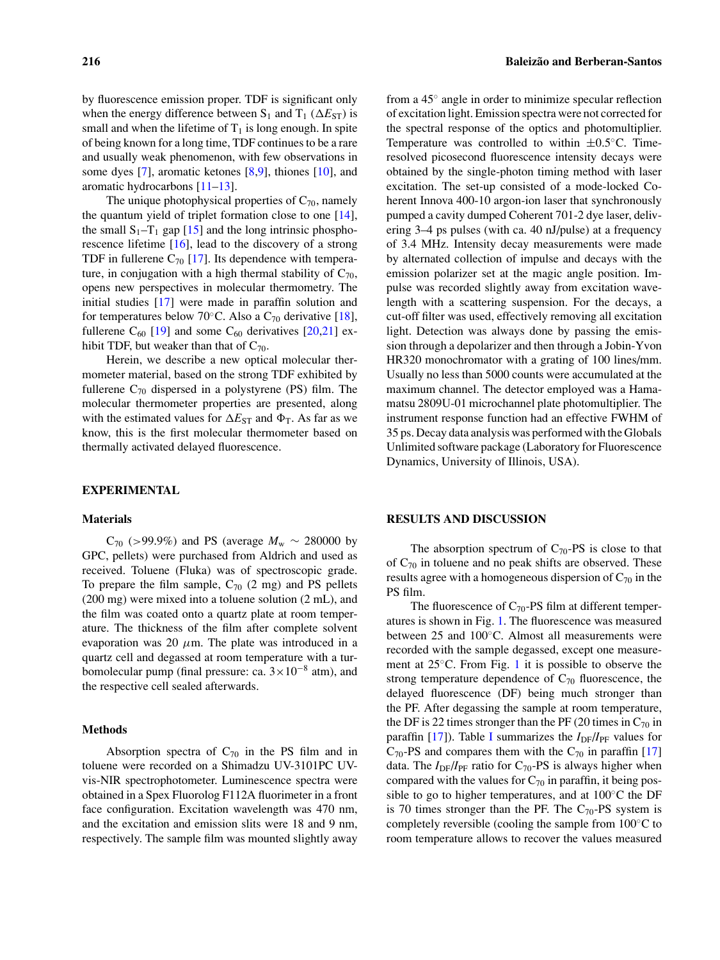by fluorescence emission proper. TDF is significant only when the energy difference between  $S_1$  and  $T_1$  ( $\Delta E_{ST}$ ) is small and when the lifetime of  $T_1$  is long enough. In spite of being known for a long time, TDF continues to be a rare and usually weak phenomenon, with few observations in some dyes [\[7\]](#page-3-4), aromatic ketones [\[8,](#page-3-5)[9\]](#page-3-6), thiones [\[10\]](#page-3-7), and aromatic hydrocarbons [\[11](#page-4-0)[–13\]](#page-4-1).

The unique photophysical properties of  $C_{70}$ , namely the quantum yield of triplet formation close to one [\[14\]](#page-4-2), the small  $S_1-T_1$  gap [\[15\]](#page-4-3) and the long intrinsic phosphorescence lifetime [\[16\]](#page-4-4), lead to the discovery of a strong TDF in fullerene  $C_{70}$  [\[17\]](#page-4-5). Its dependence with temperature, in conjugation with a high thermal stability of  $C_{70}$ , opens new perspectives in molecular thermometry. The initial studies [\[17\]](#page-4-5) were made in paraffin solution and for temperatures below 70 $\degree$ C. Also a C<sub>70</sub> derivative [\[18\]](#page-4-6), fullerene  $C_{60}$  [\[19\]](#page-4-7) and some  $C_{60}$  derivatives [\[20,](#page-4-8)[21\]](#page-4-9) exhibit TDF, but weaker than that of  $C_{70}$ .

Herein, we describe a new optical molecular thermometer material, based on the strong TDF exhibited by fullerene  $C_{70}$  dispersed in a polystyrene (PS) film. The molecular thermometer properties are presented, along with the estimated values for  $\Delta E_{ST}$  and  $\Phi_T$ . As far as we know, this is the first molecular thermometer based on thermally activated delayed fluorescence.

## **EXPERIMENTAL**

#### **Materials**

 $C_{70}$  (>99.9%) and PS (average  $M_{\rm w}$  ∼ 280000 by GPC, pellets) were purchased from Aldrich and used as received. Toluene (Fluka) was of spectroscopic grade. To prepare the film sample,  $C_{70}$  (2 mg) and PS pellets (200 mg) were mixed into a toluene solution (2 mL), and the film was coated onto a quartz plate at room temperature. The thickness of the film after complete solvent evaporation was 20  $\mu$ m. The plate was introduced in a quartz cell and degassed at room temperature with a turbomolecular pump (final pressure: ca.  $3 \times 10^{-8}$  atm), and the respective cell sealed afterwards.

#### **Methods**

Absorption spectra of  $C_{70}$  in the PS film and in toluene were recorded on a Shimadzu UV-3101PC UVvis-NIR spectrophotometer. Luminescence spectra were obtained in a Spex Fluorolog F112A fluorimeter in a front face configuration. Excitation wavelength was 470 nm, and the excitation and emission slits were 18 and 9 nm, respectively. The sample film was mounted slightly away from a 45◦ angle in order to minimize specular reflection of excitation light. Emission spectra were not corrected for the spectral response of the optics and photomultiplier. Temperature was controlled to within  $\pm 0.5$ °C. Timeresolved picosecond fluorescence intensity decays were obtained by the single-photon timing method with laser excitation. The set-up consisted of a mode-locked Coherent Innova 400-10 argon-ion laser that synchronously pumped a cavity dumped Coherent 701-2 dye laser, delivering 3–4 ps pulses (with ca. 40 nJ/pulse) at a frequency of 3.4 MHz. Intensity decay measurements were made by alternated collection of impulse and decays with the emission polarizer set at the magic angle position. Impulse was recorded slightly away from excitation wavelength with a scattering suspension. For the decays, a cut-off filter was used, effectively removing all excitation light. Detection was always done by passing the emission through a depolarizer and then through a Jobin-Yvon HR320 monochromator with a grating of 100 lines/mm. Usually no less than 5000 counts were accumulated at the maximum channel. The detector employed was a Hamamatsu 2809U-01 microchannel plate photomultiplier. The instrument response function had an effective FWHM of 35 ps. Decay data analysis was performed with the Globals Unlimited software package (Laboratory for Fluorescence Dynamics, University of Illinois, USA).

#### **RESULTS AND DISCUSSION**

The absorption spectrum of  $C_{70}$ -PS is close to that of  $C_{70}$  in toluene and no peak shifts are observed. These results agree with a homogeneous dispersion of  $C_{70}$  in the PS film.

The fluorescence of  $C_{70}$ -PS film at different temperatures is shown in Fig. [1.](#page-2-0) The fluorescence was measured between 25 and 100◦C. Almost all measurements were recorded with the sample degassed, except one measurement at  $25^{\circ}$ C. From Fig. [1](#page-2-0) it is possible to observe the strong temperature dependence of  $C_{70}$  fluorescence, the delayed fluorescence (DF) being much stronger than the PF. After degassing the sample at room temperature, the DF is 22 times stronger than the PF (20 times in  $C_{70}$  in paraffin [\[17\]](#page-4-5)). Table [I](#page-2-1) summarizes the  $I_{DF}/I_{PF}$  values for  $C_{70}$ -PS and compares them with the  $C_{70}$  in paraffin [\[17\]](#page-4-5) data. The  $I_{DF}/I_{PF}$  ratio for C<sub>70</sub>-PS is always higher when compared with the values for  $C_{70}$  in paraffin, it being possible to go to higher temperatures, and at  $100\degree$ C the DF is 70 times stronger than the PF. The  $C_{70}$ -PS system is completely reversible (cooling the sample from  $100\degree C$  to room temperature allows to recover the values measured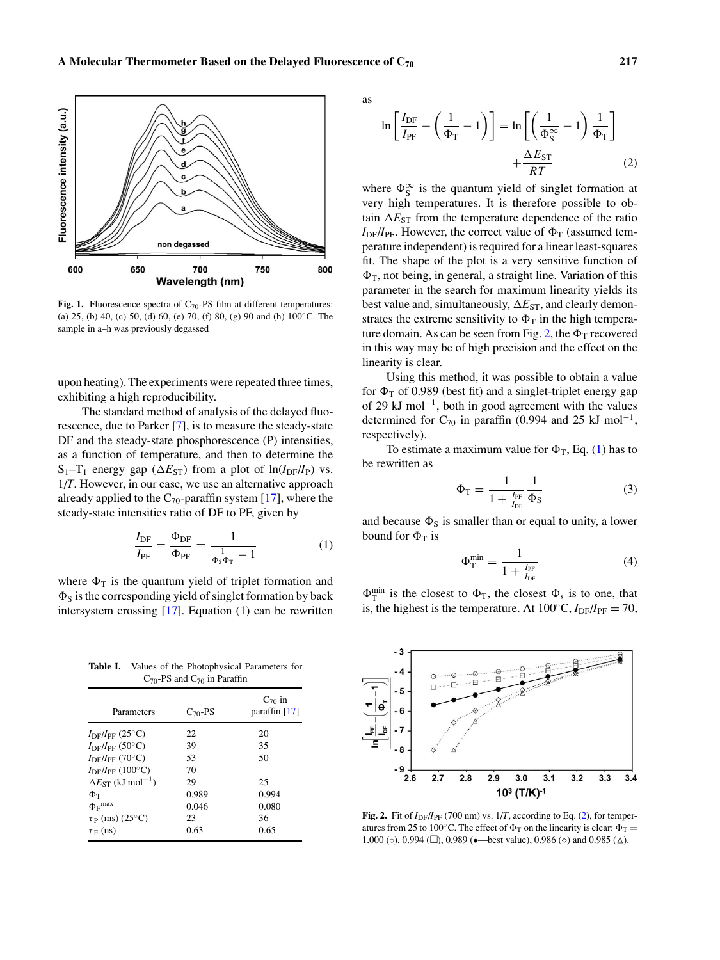<span id="page-2-0"></span>

Fig. 1. Fluorescence spectra of C<sub>70</sub>-PS film at different temperatures: (a) 25, (b) 40, (c) 50, (d) 60, (e) 70, (f) 80, (g) 90 and (h)  $100^{\circ}$ C. The sample in a–h was previously degassed

upon heating). The experiments were repeated three times, exhibiting a high reproducibility.

The standard method of analysis of the delayed fluorescence, due to Parker [\[7\]](#page-3-4), is to measure the steady-state DF and the steady-state phosphorescence (P) intensities, as a function of temperature, and then to determine the  $S_1 - T_1$  energy gap ( $\Delta E_{ST}$ ) from a plot of  $\ln(I_{DF}/I_P)$  vs. 1/*T*. However, in our case, we use an alternative approach already applied to the  $C_{70}$ -paraffin system [\[17\]](#page-4-5), where the steady-state intensities ratio of DF to PF, given by

$$
\frac{I_{\rm DF}}{I_{\rm PF}} = \frac{\Phi_{\rm DF}}{\Phi_{\rm PF}} = \frac{1}{\frac{1}{\Phi_{\rm S}\Phi_{\rm T}} - 1} \tag{1}
$$

<span id="page-2-2"></span>where  $\Phi_T$  is the quantum yield of triplet formation and  $\Phi$ <sub>S</sub> is the corresponding yield of singlet formation by back intersystem crossing  $[17]$ . Equation  $(1)$  can be rewritten

<span id="page-2-1"></span>**Table I.** Values of the Photophysical Parameters for  $C_{70}$ -PS and  $C_{70}$  in Paraffin

| Parameters                              | $C_{70}$ -PS | $C_{70}$ in<br>paraffin $[17]$ |
|-----------------------------------------|--------------|--------------------------------|
| $I_{\rm DF}/I_{\rm PF}$ (25°C)          | 22           | 20                             |
| $I_{\rm DF}/I_{\rm PF}$ (50°C)          | 39           | 35                             |
| $I_{\rm DF}/I_{\rm PF}$ (70°C)          | 53           | 50                             |
| $I_{\rm DF}/I_{\rm PF}$ (100°C)         | 70           |                                |
| $\Delta E_{ST}$ (kJ mol <sup>-1</sup> ) | 29           | 25                             |
| Φт                                      | 0.989        | 0.994                          |
| $\Phi$ <sub>F</sub> $max$               | 0.046        | 0.080                          |
| $\tau_P$ (ms) (25°C)                    | 23           | 36                             |
| $\tau_F$ (ns)                           | 0.63         | 0.65                           |

as

<span id="page-2-4"></span>
$$
\ln\left[\frac{I_{\rm DF}}{I_{\rm PF}} - \left(\frac{1}{\Phi_{\rm T}} - 1\right)\right] = \ln\left[\left(\frac{1}{\Phi_{\rm S}^{\infty}} - 1\right)\frac{1}{\Phi_{\rm T}}\right] + \frac{\Delta E_{\rm ST}}{RT}
$$
(2)

where  $\Phi_S^{\infty}$  is the quantum yield of singlet formation at very high temperatures. It is therefore possible to obtain  $\Delta E_{ST}$  from the temperature dependence of the ratio  $I_{DF}/I_{PF}$ . However, the correct value of  $\Phi_T$  (assumed temperature independent) is required for a linear least-squares fit. The shape of the plot is a very sensitive function of  $\Phi_T$ , not being, in general, a straight line. Variation of this parameter in the search for maximum linearity yields its best value and, simultaneously,  $\Delta E_{ST}$ , and clearly demonstrates the extreme sensitivity to  $\Phi_T$  in the high tempera-ture domain. As can be seen from Fig. [2,](#page-2-3) the  $\Phi_T$  recovered in this way may be of high precision and the effect on the linearity is clear.

Using this method, it was possible to obtain a value for  $\Phi_T$  of 0.989 (best fit) and a singlet-triplet energy gap of 29 kJ mol<sup>-1</sup>, both in good agreement with the values determined for C<sub>70</sub> in paraffin (0.994 and 25 kJ mol<sup>-1</sup>, respectively).

To estimate a maximum value for  $\Phi_T$ , Eq. [\(1\)](#page-2-2) has to be rewritten as

$$
\Phi_{\rm T} = \frac{1}{1 + \frac{I_{\rm PF}}{I_{\rm DF}}} \frac{1}{\Phi_{\rm S}} \tag{3}
$$

and because  $\Phi_S$  is smaller than or equal to unity, a lower bound for  $\Phi$ <sub>T</sub> is

$$
\Phi_{\rm T}^{\rm min} = \frac{1}{1 + \frac{I_{\rm PF}}{I_{\rm DF}}} \tag{4}
$$

<span id="page-2-5"></span> $\Phi_T^{\text{min}}$  is the closest to  $\Phi_T$ , the closest  $\Phi_s$  is to one, that is, the highest is the temperature. At  $100\degree C, I_{DF}/I_{PF} = 70$ ,

<span id="page-2-3"></span>

**Fig. 2.** Fit of  $I_{DF}/I_{PF}$  (700 nm) vs.  $1/T$ , according to Eq. [\(2\)](#page-2-4), for temperatures from 25 to 100°C. The effect of  $\Phi_T$  on the linearity is clear:  $\Phi_T =$ 1.000 (o), 0.994 ( $\square$ ), 0.989 (•—best value), 0.986 ( $\diamond$ ) and 0.985 ( $\triangle$ ).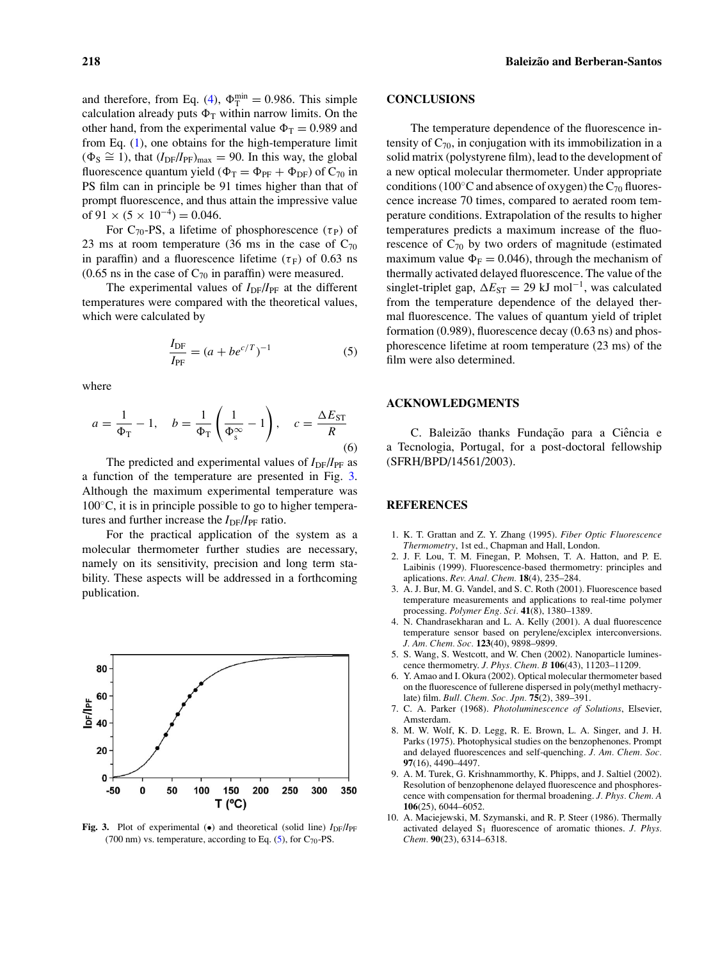and therefore, from Eq. [\(4\)](#page-2-5),  $\Phi_{\rm T}^{\rm min} = 0.986$ . This simple calculation already puts  $\Phi_T$  within narrow limits. On the other hand, from the experimental value  $\Phi_T = 0.989$  and from Eq.  $(1)$ , one obtains for the high-temperature limit  $(\Phi_{\rm S} \cong 1)$ , that  $(I_{\rm DF}/I_{\rm PF})_{\rm max} = 90$ . In this way, the global fluorescence quantum yield ( $\Phi_T = \Phi_{PF} + \Phi_{DF}$ ) of  $C_{70}$  in PS film can in principle be 91 times higher than that of prompt fluorescence, and thus attain the impressive value of  $91 \times (5 \times 10^{-4}) = 0.046$ .

For C<sub>70</sub>-PS, a lifetime of phosphorescence ( $\tau$ <sub>P</sub>) of 23 ms at room temperature (36 ms in the case of  $C_{70}$ ) in paraffin) and a fluorescence lifetime  $(\tau_F)$  of 0.63 ns  $(0.65 \text{ ns in the case of } C_{70} \text{ in paraffin})$  were measured.

The experimental values of  $I_{DF}/I_{PF}$  at the different temperatures were compared with the theoretical values, which were calculated by

$$
\frac{I_{\rm DF}}{I_{\rm PF}} = (a + b e^{c/T})^{-1}
$$
 (5)

<span id="page-3-9"></span>where

$$
a = \frac{1}{\Phi_{\rm T}} - 1, \quad b = \frac{1}{\Phi_{\rm T}} \left( \frac{1}{\Phi_{\rm s}^{\infty}} - 1 \right), \quad c = \frac{\Delta E_{\rm ST}}{R}
$$
(6)

The predicted and experimental values of  $I_{\text{DF}}/I_{\text{PF}}$  as a function of the temperature are presented in Fig. [3.](#page-3-8) Although the maximum experimental temperature was  $100\degree$ C, it is in principle possible to go to higher temperatures and further increase the  $I_{DF}/I_{PF}$  ratio.

For the practical application of the system as a molecular thermometer further studies are necessary, namely on its sensitivity, precision and long term stability. These aspects will be addressed in a forthcoming publication.

<span id="page-3-8"></span>

Fig. 3. Plot of experimental ( $\bullet$ ) and theoretical (solid line) *I*<sub>DF</sub>/*I*<sub>PF</sub> (700 nm) vs. temperature, according to Eq.  $(5)$ , for C<sub>70</sub>-PS.

# **CONCLUSIONS**

The temperature dependence of the fluorescence intensity of  $C_{70}$ , in conjugation with its immobilization in a solid matrix (polystyrene film), lead to the development of a new optical molecular thermometer. Under appropriate conditions (100 $°C$  and absence of oxygen) the  $C_{70}$  fluorescence increase 70 times, compared to aerated room temperature conditions. Extrapolation of the results to higher temperatures predicts a maximum increase of the fluorescence of  $C_{70}$  by two orders of magnitude (estimated maximum value  $\Phi_F = 0.046$ , through the mechanism of thermally activated delayed fluorescence. The value of the singlet-triplet gap,  $\Delta E_{ST} = 29 \text{ kJ mol}^{-1}$ , was calculated from the temperature dependence of the delayed thermal fluorescence. The values of quantum yield of triplet formation (0.989), fluorescence decay (0.63 ns) and phosphorescence lifetime at room temperature (23 ms) of the film were also determined.

# **ACKNOWLEDGMENTS**

C. Baleizão thanks Fundação para a Ciência e a Tecnologia, Portugal, for a post-doctoral fellowship (SFRH/BPD/14561/2003).

## **REFERENCES**

- 1. K. T. Grattan and Z. Y. Zhang (1995). *Fiber Optic Fluorescence Thermometry*, 1st ed., Chapman and Hall, London.
- <span id="page-3-0"></span>2. J. F. Lou, T. M. Finegan, P. Mohsen, T. A. Hatton, and P. E. Laibinis (1999). Fluorescence-based thermometry: principles and aplications. *Rev. Anal. Chem.* **18**(4), 235–284.
- <span id="page-3-1"></span>3. A. J. Bur, M. G. Vandel, and S. C. Roth (2001). Fluorescence based temperature measurements and applications to real-time polymer processing. *Polymer Eng. Sci.* **41**(8), 1380–1389.
- 4. N. Chandrasekharan and L. A. Kelly (2001). A dual fluorescence temperature sensor based on perylene/exciplex interconversions. *J. Am. Chem. Soc.* **123**(40), 9898–9899.
- 5. S. Wang, S. Westcott, and W. Chen (2002). Nanoparticle luminescence thermometry. *J. Phys. Chem. B* **106**(43), 11203–11209.
- <span id="page-3-2"></span>6. Y. Amao and I. Okura (2002). Optical molecular thermometer based on the fluorescence of fullerene dispersed in poly(methyl methacrylate) film. *Bull. Chem. Soc. Jpn.* **75**(2), 389–391.
- <span id="page-3-3"></span>7. C. A. Parker (1968). *Photoluminescence of Solutions*, Elsevier, Amsterdam.
- <span id="page-3-4"></span>8. M. W. Wolf, K. D. Legg, R. E. Brown, L. A. Singer, and J. H. Parks (1975). Photophysical studies on the benzophenones. Prompt and delayed fluorescences and self-quenching. *J. Am. Chem. Soc.* **97**(16), 4490–4497.
- <span id="page-3-5"></span>9. A. M. Turek, G. Krishnammorthy, K. Phipps, and J. Saltiel (2002). Resolution of benzophenone delayed fluorescence and phosphorescence with compensation for thermal broadening. *J. Phys. Chem. A* **106**(25), 6044–6052.
- <span id="page-3-7"></span><span id="page-3-6"></span>10. A. Maciejewski, M. Szymanski, and R. P. Steer (1986). Thermally activated delayed S<sub>1</sub> fluorescence of aromatic thiones. *J. Phys. Chem.* **90**(23), 6314–6318.